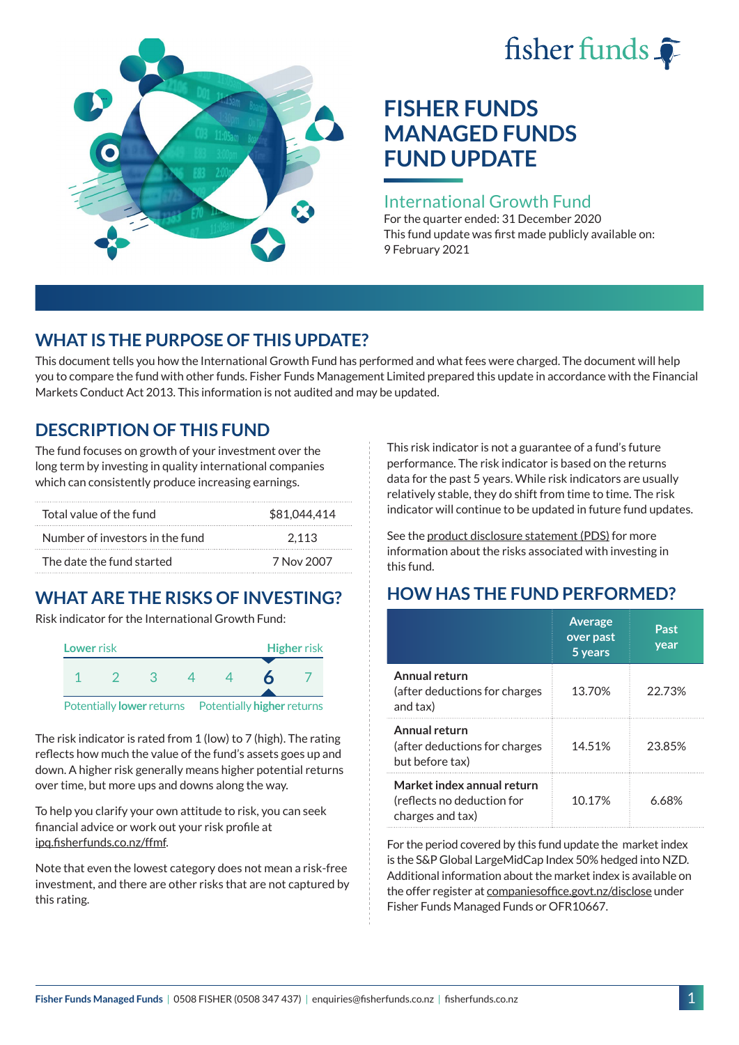# fisher funds  $\hat{\bullet}$



## **FISHER FUNDS MANAGED FUNDS FUND UPDATE**

#### International Growth Fund

For the quarter ended: 31 December 2020 This fund update was first made publicly available on: 9 February 2021

## **WHAT IS THE PURPOSE OF THIS UPDATE?**

This document tells you how the International Growth Fund has performed and what fees were charged. The document will help you to compare the fund with other funds. Fisher Funds Management Limited prepared this update in accordance with the Financial Markets Conduct Act 2013. This information is not audited and may be updated.

## **DESCRIPTION OF THIS FUND**

The fund focuses on growth of your investment over the long term by investing in quality international companies which can consistently produce increasing earnings.

| Total value of the fund         | \$81,044,414 |
|---------------------------------|--------------|
| Number of investors in the fund | 2.113        |
| The date the fund started       | 7 Nov 2007   |

## **WHAT ARE THE RISKS OF INVESTING?**

Risk indicator for the International Growth Fund:



The risk indicator is rated from 1 (low) to 7 (high). The rating reflects how much the value of the fund's assets goes up and down. A higher risk generally means higher potential returns over time, but more ups and downs along the way.

To help you clarify your own attitude to risk, you can seek financial advice or work out your risk profile at [ipq.fisherfunds.co.nz/ffmf](https://ipq.fisherfunds.co.nz/ffmf).

Note that even the lowest category does not mean a risk-free investment, and there are other risks that are not captured by this rating.

This risk indicator is not a guarantee of a fund's future performance. The risk indicator is based on the returns data for the past 5 years. While risk indicators are usually relatively stable, they do shift from time to time. The risk indicator will continue to be updated in future fund updates.

See the [product disclosure statement \(PDS\)](https://fisherfunds.co.nz/assets/PDS/Fisher-Funds-Managed-Funds-PDS.pdf) for more information about the risks associated with investing in this fund.

## **HOW HAS THE FUND PERFORMED?**

|                                                                              | <b>Average</b><br>over past<br>5 years | Past<br>year |
|------------------------------------------------------------------------------|----------------------------------------|--------------|
| Annual return<br>(after deductions for charges<br>and tax)                   | 13.70%                                 | 22.73%       |
| Annual return<br>(after deductions for charges<br>but before tax)            | 14.51%                                 | 23.85%       |
| Market index annual return<br>(reflects no deduction for<br>charges and tax) | 10.17%                                 | 6.68%        |

For the period covered by this fund update the market index is the S&P Global LargeMidCap Index 50% hedged into NZD. Additional information about the market index is available on the offer register at [companiesoffice.govt.nz/disclose](http://companiesoffice.govt.nz/disclose) under Fisher Funds Managed Funds or OFR10667.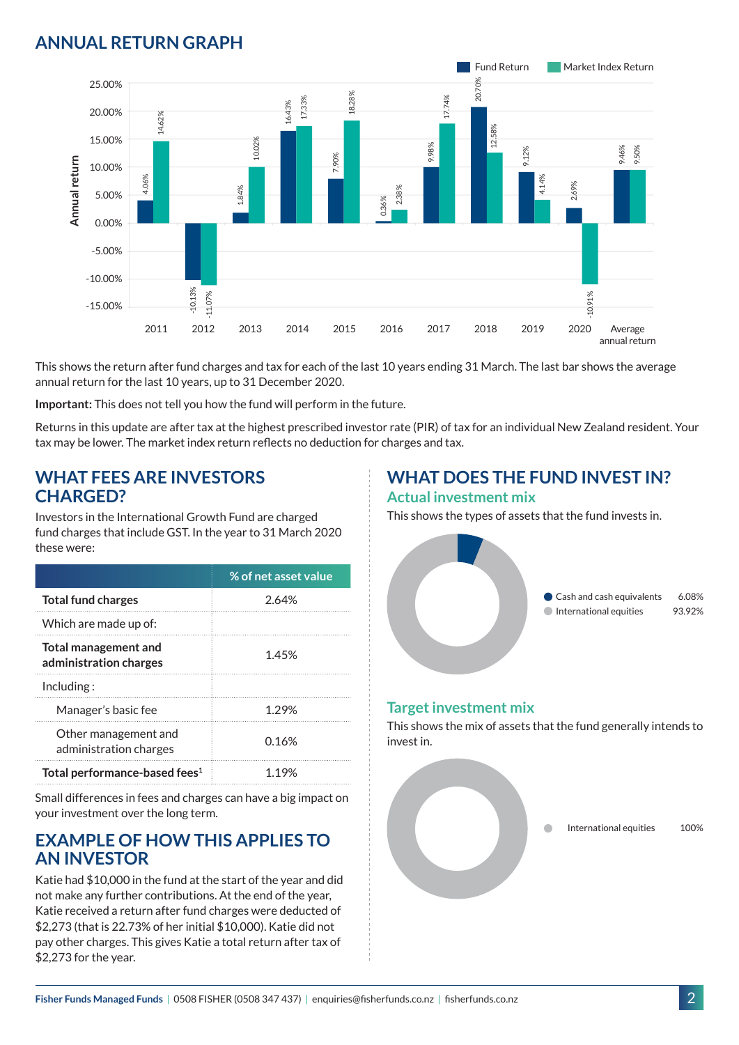## **ANNUAL RETURN GRAPH**



This shows the return after fund charges and tax for each of the last 10 years ending 31 March. The last bar shows the average annual return for the last 10 years, up to 31 December 2020.

**Important:** This does not tell you how the fund will perform in the future.

Returns in this update are after tax at the highest prescribed investor rate (PIR) of tax for an individual New Zealand resident. Your tax may be lower. The market index return reflects no deduction for charges and tax.

#### **WHAT FEES ARE INVESTORS CHARGED?**

Investors in the International Growth Fund are charged fund charges that include GST. In the year to 31 March 2020 these were:

|                                                | % of net asset value |
|------------------------------------------------|----------------------|
| <b>Total fund charges</b>                      | 2.64%                |
| Which are made up of:                          |                      |
| Total management and<br>administration charges | 1.45%                |
| Inding:                                        |                      |
| Manager's basic fee                            | 1.29%                |
| Other management and<br>administration charges | 0.16%                |
| Total performance-based fees <sup>1</sup>      | 1.19%                |

Small differences in fees and charges can have a big impact on your investment over the long term.

#### **EXAMPLE OF HOW THIS APPLIES TO AN INVESTOR**

Katie had \$10,000 in the fund at the start of the year and did not make any further contributions. At the end of the year, Katie received a return after fund charges were deducted of \$2,273 (that is 22.73% of her initial \$10,000). Katie did not pay other charges. This gives Katie a total return after tax of \$2,273 for the year.

## **WHAT DOES THE FUND INVEST IN?**

#### **Actual investment mix**

This shows the types of assets that the fund invests in.



#### **Target investment mix**

This shows the mix of assets that the fund generally intends to invest in.